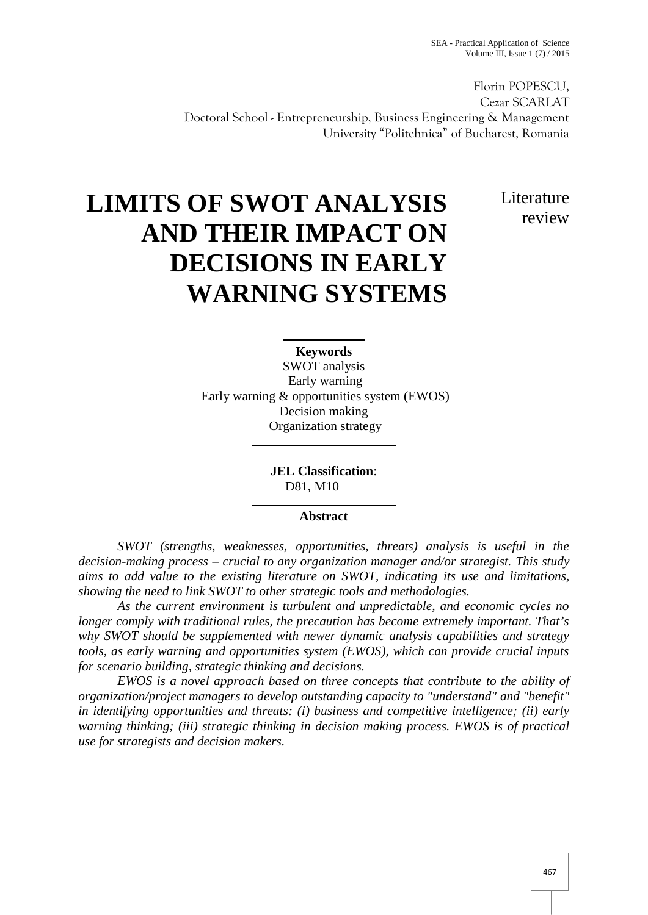Florin POPESCU, Cezar SCARLAT Doctoral School -Entrepreneurship, Business Engineering & Management University "Politehnica" of Bucharest, Romania

> **Literature** review

# **LIMITS OF SWOT ANALYSIS AND THEIR IMPACT ON DECISIONS IN EARLY WARNING SYSTEMS**

**Keywords** SWOT analysis Early warning Early warning & opportunities system (EWOS) Decision making Organization strategy

> **JEL Classification**: D81, M10

## **Abstract**

*SWOT (strengths, weaknesses, opportunities, threats) analysis is useful in the decision-making process – crucial to any organization manager and/or strategist. This study aims to add value to the existing literature on SWOT, indicating its use and limitations, showing the need to link SWOT to other strategic tools and methodologies.*

*As the current environment is turbulent and unpredictable, and economic cycles no longer comply with traditional rules, the precaution has become extremely important. That's why SWOT should be supplemented with newer dynamic analysis capabilities and strategy tools, as early warning and opportunities system (EWOS), which can provide crucial inputs for scenario building, strategic thinking and decisions.*

*EWOS is a novel approach based on three concepts that contribute to the ability of organization/project managers to develop outstanding capacity to "understand" and "benefit" in identifying opportunities and threats: (i) business and competitive intelligence; (ii) early warning thinking; (iii) strategic thinking in decision making process. EWOS is of practical use for strategists and decision makers.*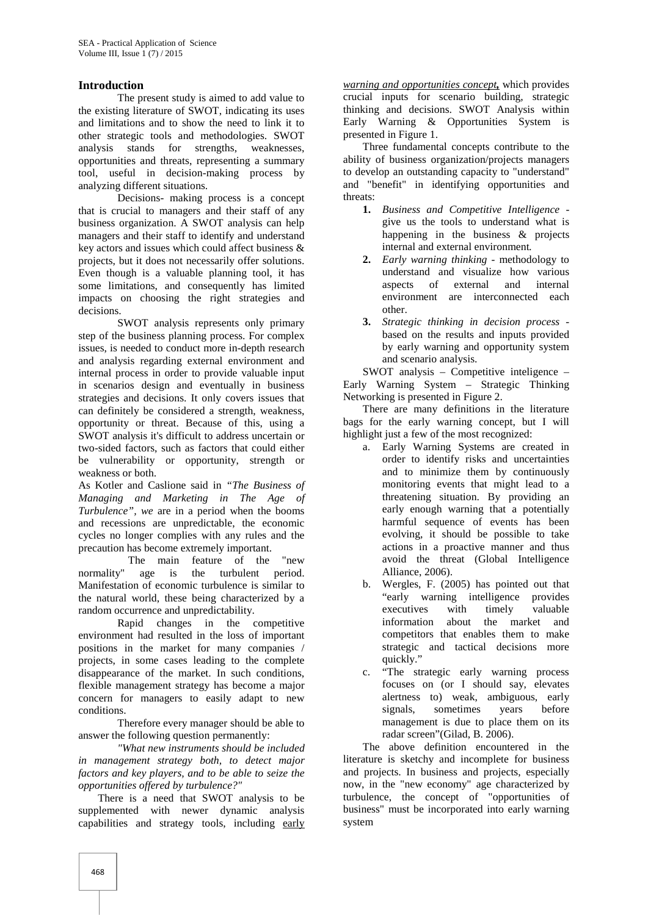### **Introduction**

The present study is aimed to add value to the existing literature of SWOT, indicating its uses and limitations and to show the need to link it to other strategic tools and methodologies. SWOT analysis stands for strengths, weaknesses, opportunities and threats, representing a summary tool, useful in decision-making process by analyzing different situations.

Decisions- making process is a concept that is crucial to managers and their staff of any business organization. A SWOT analysis can help managers and their staff to identify and understand key actors and issues which could affect business & projects, but it does not necessarily offer solutions. Even though is a valuable planning tool, it has some limitations, and consequently has limited impacts on choosing the right strategies and decisions.

SWOT analysis represents only primary step of the business planning process. For complex issues, is needed to conduct more in-depth research and analysis regarding external environment and internal process in order to provide valuable input in scenarios design and eventually in business strategies and decisions. It only covers issues that can definitely be considered a strength, weakness, opportunity or threat. Because of this, using a SWOT analysis it's difficult to address uncertain or two-sided factors, such as factors that could either be vulnerability or opportunity, strength or weakness or both.

As Kotler and Caslione said in *"The Business of Managing and Marketing in The Age of Turbulence", we* are in a period when the booms and recessions are unpredictable, the economic cycles no longer complies with any rules and the precaution has become extremely important.

The main feature of the "new<br>normality" age is the turbulent period. age is the turbulent period. Manifestation of economic turbulence is similar to the natural world, these being characterized by a random occurrence and unpredictability.

Rapid changes in the competitive environment had resulted in the loss of important positions in the market for many companies / projects, in some cases leading to the complete disappearance of the market. In such conditions, flexible management strategy has become a major concern for managers to easily adapt to new conditions.

Therefore every manager should be able to answer the following question permanently:

*"What new instruments should be included in management strategy both, to detect major factors and key players, and to be able to seize the opportunities offered by turbulence?"*

There is a need that SWOT analysis to be supplemented with newer dynamic analysis capabilities and strategy tools, including early *warning and opportunities concept,* which provides crucial inputs for scenario building, strategic thinking and decisions. SWOT Analysis within Early Warning & Opportunities System is presented in Figure 1.

Three fundamental concepts contribute to the ability of business organization/projects managers to develop an outstanding capacity to "understand" and "benefit" in identifying opportunities and threats:

- **1.** *Business and Competitive Intelligence* give us the tools to understand what is happening in the business & projects internal and external environment*.*
- **2.** *Early warning thinking* methodology to understand and visualize how various aspects of external and internal environment are interconnected each other.
- **3.** *Strategic thinking in decision process* based on the results and inputs provided by early warning and opportunity system and scenario analysis.

SWOT analysis – Competitive inteligence – Early Warning System – Strategic Thinking Networking is presented in Figure 2.

There are many definitions in the literature bags for the early warning concept, but I will highlight just a few of the most recognized:

- a. Early Warning Systems are created in order to identify risks and uncertainties and to minimize them by continuously monitoring events that might lead to a threatening situation. By providing an early enough warning that a potentially harmful sequence of events has been evolving, it should be possible to take actions in a proactive manner and thus avoid the threat (Global Intelligence Alliance, 2006).
- b. Wergles, F. (2005) has pointed out that "early warning intelligence provides executives with timely valuable information about the market and competitors that enables them to make strategic and tactical decisions more quickly."
- c. "The strategic early warning process focuses on (or I should say, elevates alertness to) weak, ambiguous, early signals, sometimes years before management is due to place them on its radar screen"(Gilad, B. 2006).

The above definition encountered in the literature is sketchy and incomplete for business and projects. In business and projects, especially now, in the "new economy" age characterized by turbulence, the concept of "opportunities of business" must be incorporated into early warning system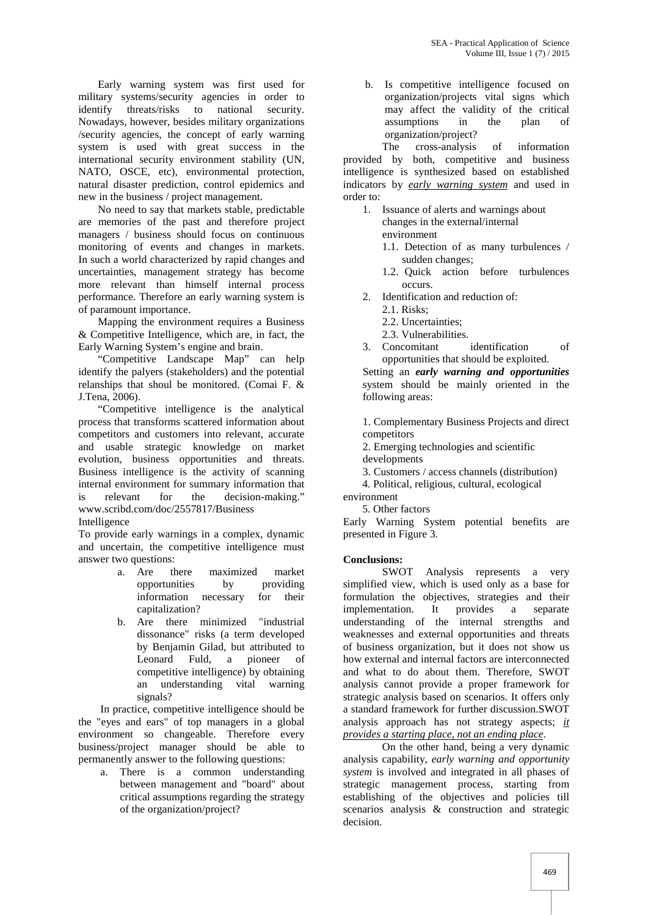Early warning system was first used for military systems/security agencies in order to identify threats/risks to national security. Nowadays, however, besides military organizations /security agencies, the concept of early warning system is used with great success in the international security environment stability (UN, NATO, OSCE, etc), environmental protection, natural disaster prediction, control epidemics and new in the business / project management.

No need to say that markets stable, predictable are memories of the past and therefore project managers / business should focus on continuous monitoring of events and changes in markets. In such a world characterized by rapid changes and uncertainties, management strategy has become more relevant than himself internal process performance. Therefore an early warning system is of paramount importance.

Mapping the environment requires a Business & Competitive Intelligence, which are, in fact, the Early Warning System's engine and brain.

"Competitive Landscape Map" can help identify the palyers (stakeholders) and the potential relanships that shoul be monitored. (Comai F. & J.Tena, 2006).

"Competitive intelligence is the analytical process that transforms scattered information about competitors and customers into relevant, accurate and usable strategic knowledge on market evolution, business opportunities and threats. Business intelligence is the activity of scanning internal environment for summary information that is relevant for the decision-making." www.scribd.com/doc/2557817/Business

Intelligence

To provide early warnings in a complex, dynamic and uncertain, the competitive intelligence must answer two questions:

- a. Are there maximized market opportunities by providing information necessary for their capitalization?
- b. Are there minimized "industrial dissonance" risks (a term developed by Benjamin Gilad, but attributed to Leonard Fuld, a pioneer of competitive intelligence) by obtaining an understanding vital warning signals?

In practice, competitive intelligence should be the "eyes and ears" of top managers in a global environment so changeable. Therefore every business/project manager should be able to permanently answer to the following questions:

a. There is a common understanding between management and "board" about critical assumptions regarding the strategy of the organization/project?

b. Is competitive intelligence focused on organization/projects vital signs which may affect the validity of the critical assumptions in the plan of organization/project?

The cross-analysis of information provided by both, competitive and business intelligence is synthesized based on established indicators by *early warning system* and used in order to:

- 1. Issuance of alerts and warnings about changes in the external/internal environment
	- 1.1. Detection of as many turbulences / sudden changes;
	- 1.2. Quick action before turbulences occurs.
- 2. Identification and reduction of:
	- 2.1. Risks:
	- 2.2. Uncertainties;
	- 2.3. Vulnerabilities.
- 3. Concomitant identification of opportunities that should be exploited.

Setting an *early warning and opportunities* system should be mainly oriented in the following areas:

1. Complementary Business Projects and direct competitors

- 2. Emerging technologies and scientific
- developments
- 3. Customers / access channels (distribution)
- 4. Political, religious, cultural, ecological
- environment

5. Other factors

Early Warning System potential benefits are presented in Figure 3*.*

#### **Conclusions:**

SWOT Analysis represents a very simplified view, which is used only as a base for formulation the objectives, strategies and their implementation. It provides a separate understanding of the internal strengths and weaknesses and external opportunities and threats of business organization, but it does not show us how external and internal factors are interconnected and what to do about them. Therefore, SWOT analysis cannot provide a proper framework for strategic analysis based on scenarios. It offers only a standard framework for further discussion.SWOT analysis approach has not strategy aspects; *it provides a starting place, not an ending place*.

On the other hand, being a very dynamic analysis capability, *early warning and opportunity system* is involved and integrated in all phases of strategic management process, starting from establishing of the objectives and policies till scenarios analysis & construction and strategic decision.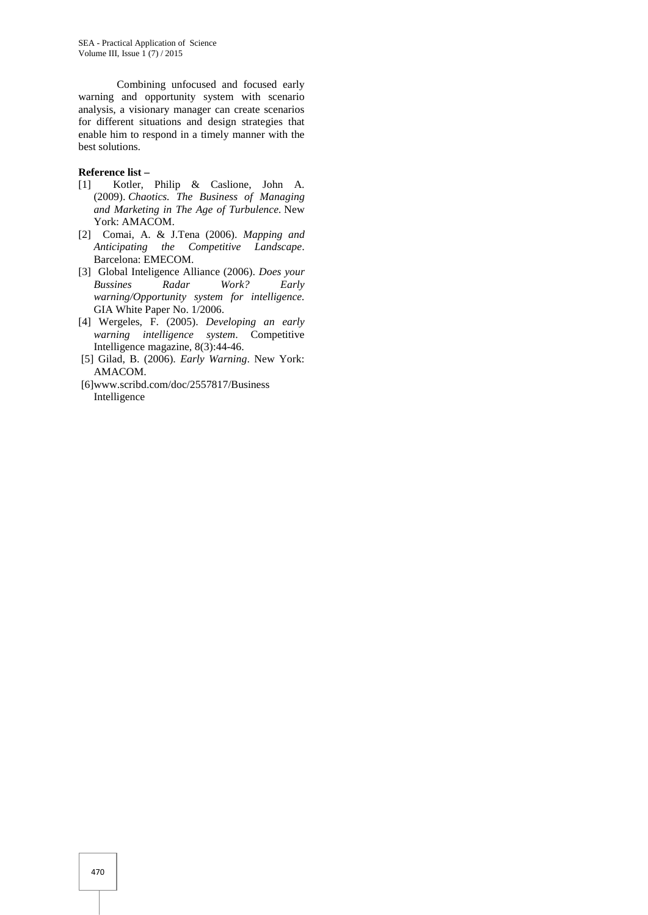SEA - Practical Application of Science Volume III, Issue  $1(7)/2015$ 

Combining unfocused and focused early warning and opportunity system with scenario analysis, a visionary manager can create scenarios for different situations and design strategies that enable him to respond in a timely manner with the best solutions.

#### **Reference list –**

- [1] Kotler, Philip & Caslione, John A. (2009). *Chaotics. The Business of Managing and Marketing in The Age of Turbulence.* New York: AMACOM.
- [2] Comai, A. & J.Tena (2006). *Mapping and Anticipating the Competitive Landscape*. Barcelona: EMECOM.
- [3] Global Inteligence Alliance (2006). *Does your Bussines Radar Work? Early warning/Opportunity system for intelligence.* GIA White Paper No. 1/2006.
- [4] Wergeles, F. (2005). *Developing an early warning intelligence system*. Competitive Intelligence magazine, 8(3):44-46.
- [5] Gilad, B. (2006). *Early Warning*. New York: AMACOM.
- [6]www.scribd.com/doc/2557817/Business Intelligence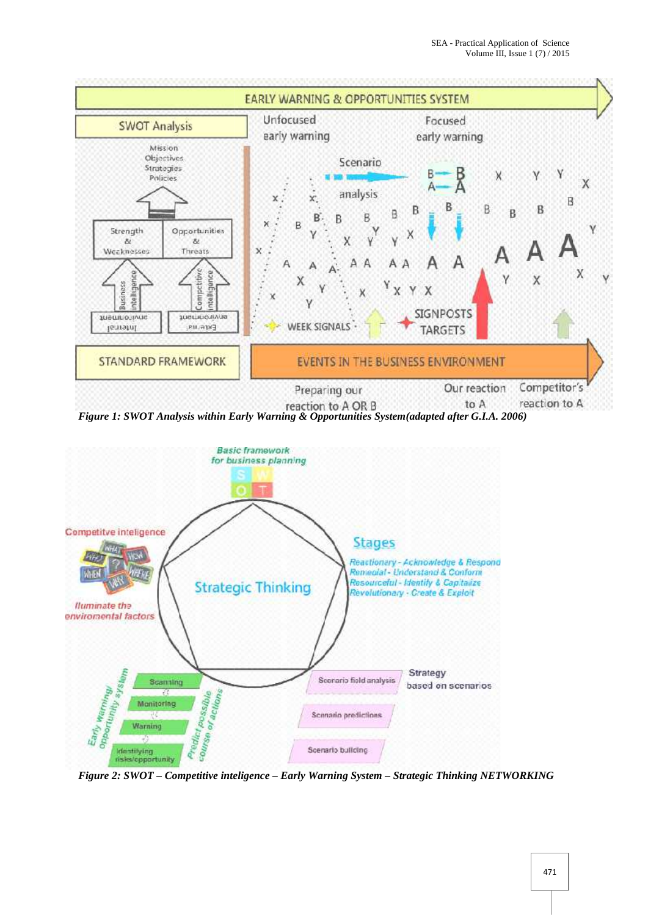

*Figure 1: SWOT Analysis within Early Warning & Opportunities System(adapted after G.I.A. 2006)*



*Figure 2: SWOT – Competitive inteligence – Early Warning System – Strategic Thinking NETWORKING*